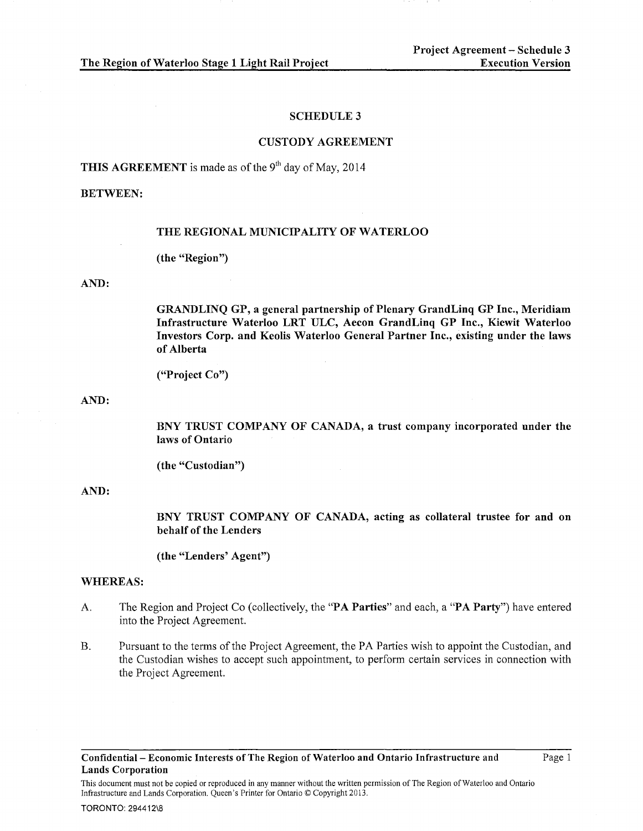#### SCHEDULE 3

#### CUSTODY AGREEMENT

**THIS AGREEMENT** is made as of the  $9<sup>th</sup>$  day of May, 2014

# BETWEEN:

#### THE REGIONAL MUNICIPALITY OF WATERLOO

(the "Region")

#### AND:

GRANDLINQ GP, a general partnership of Plenary GrandLinq GP Inc., Meridiam Infrastructure Waterloo LRT ULC, Aecon GrandLinq GP Inc., Kiewit Waterloo Investors Corp. and Keolis Waterloo General Partner Inc., existing under the laws of Alberta

("Project Co")

AND:

BNY TRUST COMPANY OF CANADA, a trust company incorporated under the laws of Ontario

(the "Custodian")

#### AND:

BNY TRUST COMPANY OF CANADA, acting as collateral trustee for and on behalf of the Lenders

(the "Lenders' Agent")

# WHEREAS:

- A. The Region and Project Co (collectively, the "PA Parties" and each, a "PA Party") have entered into the Project Agreement.
- B. Pursuant to the terms of the Project Agreement, the PA Parties wish to appoint the Custodian, and the Custodian wishes to accept such appointment, to perform certain services in connection with the Project Agreement.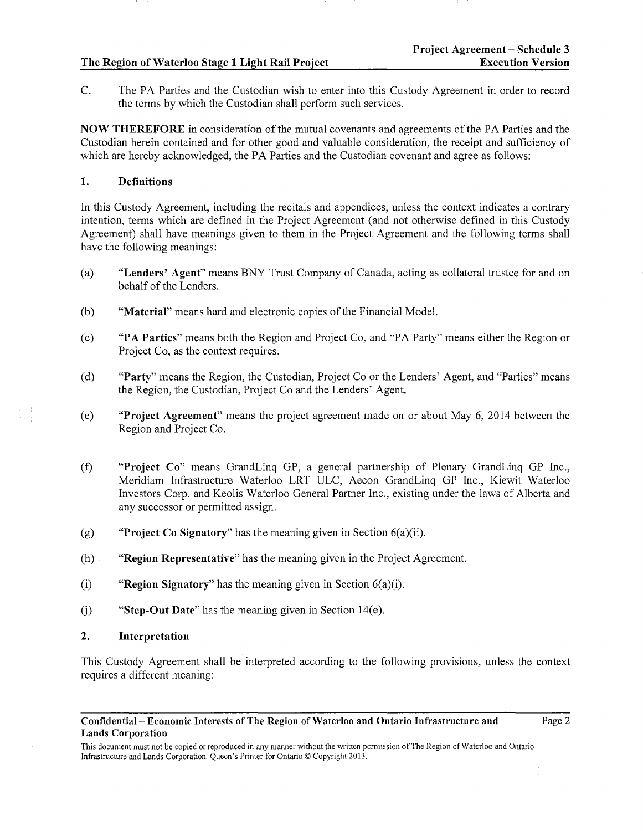C. The PA Parties and the Custodian wish to enter into this Custody Agreement in order to record the terms by which the Custodian shall perform such services.

NOW THEREFORE in consideration of the mutual covenants and agreements of the PA Parties and the Custodian herein contained and for other good and valuable consideration, the receipt and sufficiency of which are hereby acknowledged, the PA Parties and the Custodian covenant and agree as follows:

# 1. Definitions

In this Custody Agreement, including the recitals and appendices, unless the context indicates a contrary intention, terms which are defined in the Project Agreement (and not otherwise defined in this Custody Agreement) shall have meanings given to them in the Project Agreement and the following terms shall have the following meanings:

- (a) "Lenders' Agent" means BNY Trust Company of Canada, acting as collateral trustee for and on behalf of the Lenders.
- (b) "Material" means hard and electronic copies of the Financial Model.
- (c) "P A Parties" means both the Region and Project Co, and "PA Party" means either the Region or Project Co, as the context requires.
- (d) "Party" means the Region, the Custodian, Project Co or the Lenders' Agent, and "Parties" means the Region, the Custodian, Project Co and the Lenders' Agent.
- (e) "Project Agreement" means the project agreement made on or about May 6, 2014 between the Region and Project Co.
- (f) "Project Co" means GrandLinq GP, a general partnership of Plenary GrandLinq GP Inc., Meridiam Infrastructure Waterloo LRT ULC, Aecon GrandLinq GP Inc., Kiewit Waterloo Investors Corp. and Keolis Waterloo General Partner Inc., existing under the laws of Alberta and any successor or permitted assign.
- (g) "Project Co Signatory" has the meaning given in Section  $6(a)(ii)$ .
- (h) "Region Representative" has the meaning given in the Project Agreement.
- (i) "Region Signatory" has the meaning given in Section  $6(a)(i)$ .
- (j) "Step-Out Date" has the meaning given in Section 14(e).

#### 2. Interpretation

This Custody Agreement shall be interpreted according to the following provisions, unless the context requires a different meaning:

#### Confidential- Economic Interests of The Region of Waterloo and Ontario Infrastructure and Lands Corporation

This document must not be copied or reproduced in any manner without the written permission of The Region of Waterloo and Ontario Infrastructure and Lands Corporation. Queen's Printer for Ontario© Copyright 2013.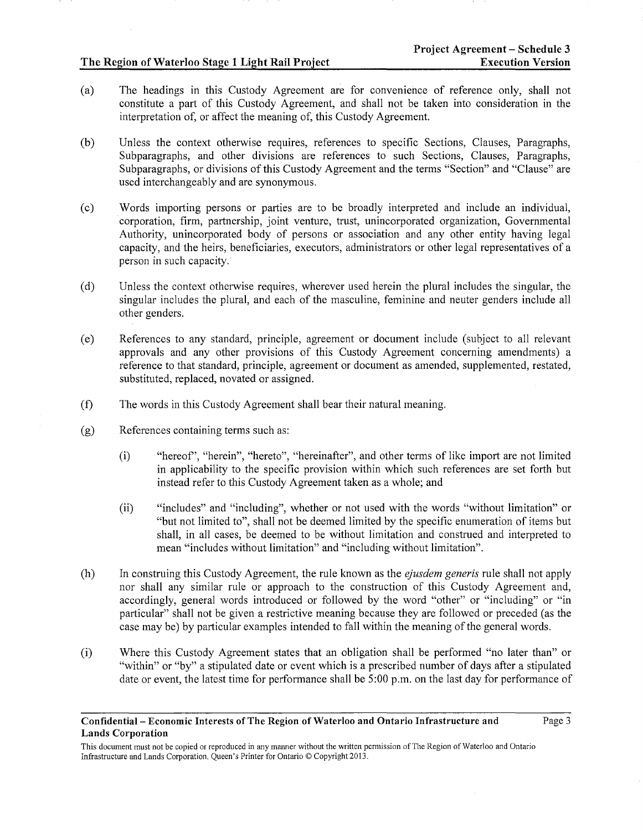- (a) The headings in this Custody Agreement are for convenience of reference only, shall not constitute a part of this Custody Agreement, and shall not be taken into consideration in the interpretation of, or affect the meaning of, this Custody Agreement.
- (b) Unless the context otherwise requires, references to specific Sections, Clauses, Paragraphs, Subparagraphs, and other divisions are references to such Sections, Clauses, Paragraphs, Subparagraphs, or divisions of this Custody Agreement and the terms "Section" and "Clause" are used interchangeably and are synonymous.
- (c) Words importing persons or parties are to be broadly interpreted and include an individual, corporation, firm, partnership, joint venture, trust, unincorporated organization, Governmental Authority, unincorporated body of persons or association and any other entity having legal capacity, and the heirs, beneficiaries, executors, administrators or other legal representatives of a person in such capacity.
- (d) Unless the context otherwise requires, wherever used herein the plural includes the singular, the singular includes the plural, and each of the masculine, feminine and neuter genders include all other genders.
- (e) References to any standard, principle, agreement or document include (subject to all relevant approvals and any other provisions of this Custody Agreement concerning amendments) a reference to that standard, principle, agreement or document as amended, supplemented, restated, substituted, replaced, novated or assigned.
- (f) The words in this Custody Agreement shall bear their natural meaning.
- (g) References containing terms such as:
	- (i) "hereof', "herein", "hereto", "hereinafter", and other terms of like import are not limited in applicability to the specific provision within which such references are set forth but instead refer to this Custody Agreement taken as a whole; and
	- (ii) "includes" and "including", whether or not used with the words "without limitation" or "but not limited to", shall not be deemed limited by the specific enumeration of items but shall, in all cases, be deemed to be without limitation and construed and interpreted to mean "includes without limitation" and "including without limitation".
- (h) In construing this Custody Agreement, the rule known as the *ejusdem generis* rule shall not apply nor shall any similar rule or approach to the construction of this Custody Agreement and, accordingly, general words introduced or followed by the word "other" or "including" or "in particular" shall not be given a restrictive meaning because they are followed or preceded (as the case may be) by particular examples intended to fall within the meaning of the general words.
- (i) Where this Custody Agreement states that an obligation shall be performed "no later than" or "within" or "by" a stipulated date or event which is a prescribed number of days after a stipulated date or event, the latest time for performance shall be  $5:00$  p.m. on the last day for performance of

#### Confidential- Economic Interests of The Region of Waterloo and Ontario Infrastructure and Lands Corporation

This document must not be copied or reproduced in any manner without the written permission of The Region of Waterloo and Ontario Infrastructure and Lands Corporation. Queen's Printer for Ontario© Copyright 2013.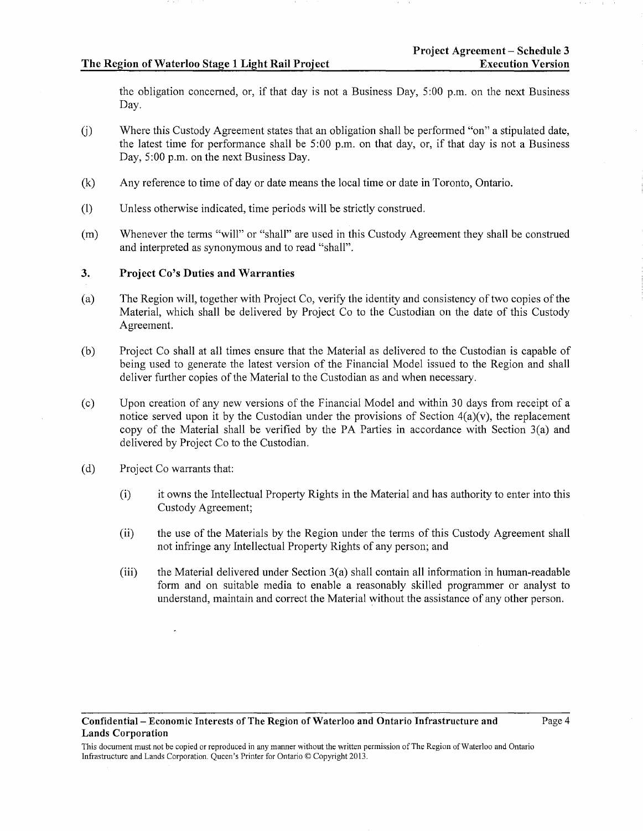the obligation concemed, or, if that day is not a Business Day, 5:00 p.m. on the next Business Day.

- U) Where this Custody Agreement states that an obligation shall be performed "on" a stipulated date, the latest time for performance shall be 5:00 p.m. on that day, or, if that day is not a Business Day, 5:00 p.m. on the next Business Day.
- (k) Any reference to time of day or date means the local time or date in Toronto, Ontario.
- (1) Unless otherwise indicated, time periods will be strictly construed.
- (m) Whenever the terms "will" or "shall" are used in this Custody Agreement they shall be construed and interpreted as synonymous and to read "shall".

## 3. Project Co's Duties and Warranties

- (a) The Region will, together with Project Co, verify the identity and consistency of two copies of the Material, which shall be delivered by Project Co to the Custodian on the date of this Custody Agreement.
- (b) Project Co shall at all times ensure that the Material as delivered to the Custodian is capable of being used to generate the latest version of the Financial Model issued to the Region and shall deliver further copies of the Material to the Custodian as and when necessary.
- (c) Upon creation of any new versions of the Financial Model and within 30 days from receipt of a notice served upon it by the Custodian under the provisions of Section  $4(a)(v)$ , the replacement copy of the Material shall be verified by the PA Parties in accordance with Section 3(a) and delivered by Project Co to the Custodian.
- (d) Project Co warrants that:
	- (i) it owns the Intellectual Property Rights in the Material and has authority to enter into this Custody Agreement;
	- (ii) the use of the Materials by the Region under the terms of this Custody Agreement shall not infringe any Intellectual Property Rights of any person; and
	- (iii) the Material delivered under Section 3(a) shall contain all information in human-readable form and on suitable media to enable a reasonably skilled programmer or analyst to understand, maintain and correct the Material without the assistance of any other person.

This document must not be copied or reproduced in any manner without the written permission of The Region of Waterloo and Ontario Infrastructure and Lands Corporation. Queen's Printer for Ontario© Copyright 2013.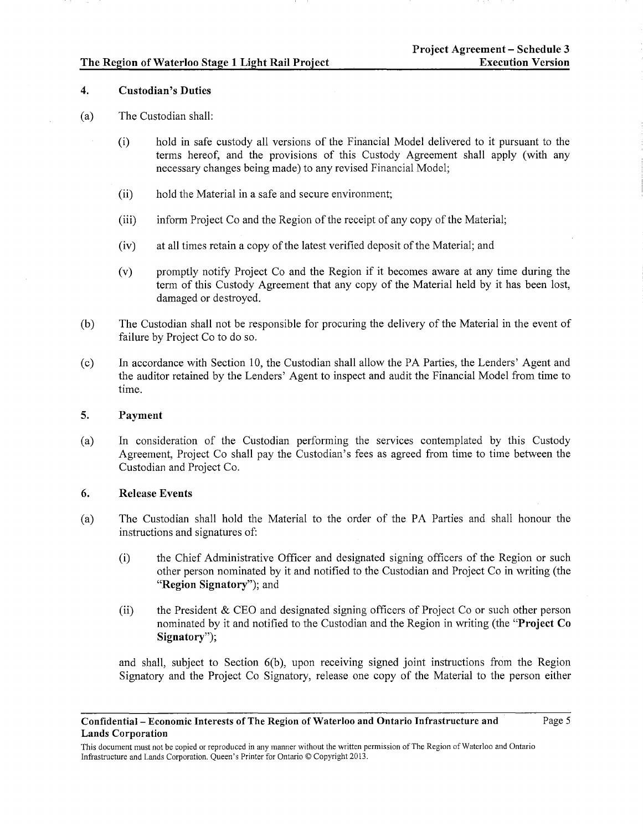## 4. Custodian's Duties

## (a) The Custodian shall:

- (i) hold in safe custody all versions of the Financial Model delivered to it pursuant to the terms hereof, and the provisions of this Custody Agreement shall apply (with any necessary changes being made) to any revised Financial Model;
- (ii) hold the Material in a safe and secure environment;
- (iii) inform Project Co and the Region of the receipt of any copy of the Material;
- (iv) at all times retain a copy of the latest verified deposit of the Material; and
- (v) promptly notify Project Co and the Region if it becomes aware at any time during the term of this Custody Agreement that any copy of the Material held by it has been lost, damaged or destroyed.
- (b) The Custodian shall not be responsible for procuring the delivery of the Material in the event of failure by Project Co to do so.
- (c) In accordance with Section 10, the Custodian shall allow the PA Parties, the Lenders' Agent and the auditor retained by the Lenders' Agent to inspect and audit the Financial Model from time to time.

#### 5. Payment

(a) In consideration of the Custodian performing the services contemplated by this Custody Agreement, Project Co shall pay the Custodian's fees as agreed from time to time between the Custodian and Project Co.

#### 6. Release Events

- (a) The Custodian shall hold the Material to the order of the PA Parties and shall honour the instructions and signatures of:
	- (i) the Chief Administrative Officer and designated signing officers of the Region or such other person nominated by it and notified to the Custodian and Project Co in writing (the "Region Signatory"); and
	- (ii) the President & CEO and designated signing officers of Project Co or such other person nominated by it and notified to the Custodian and the Region in writing (the "Project Co Signatory");

and shall, subject to Section 6(b), upon receiving signed joint instructions from the Region Signatory and the Project Co Signatory, release one copy of the Material to the person either

#### Confidential- Economic Interests of The Region of Waterloo and Ontario Infrastructure and Lands Corporation

This document must not be copied or reproduced in any manner without the written permission of The Region of Waterloo and Ontario Infrastructure and Lands Corporation. Queen's Printer for Ontario© Copyright 2013.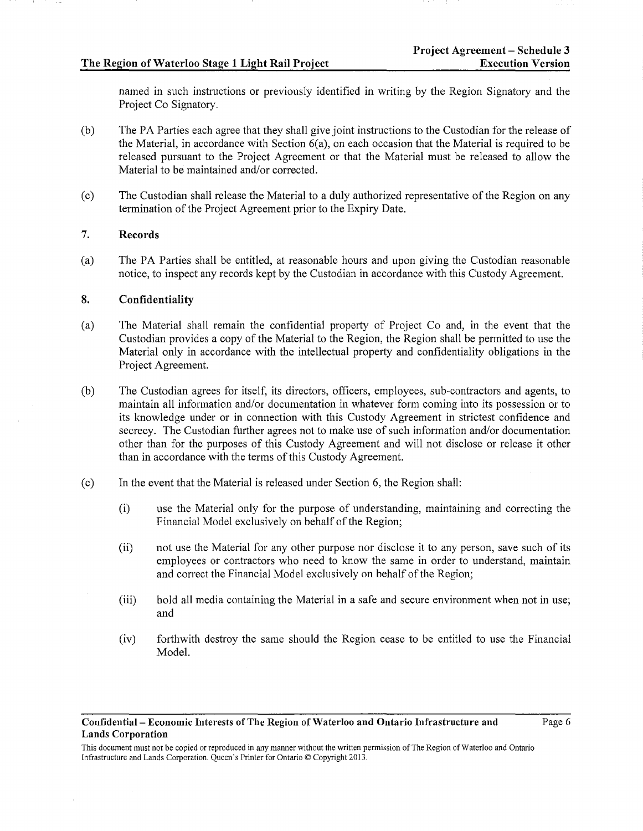named in such instructions or previously identified in writing by the Region Signatory and the Project Co Signatory.

- (b) The PA Parties each agree that they shall give joint instructions to the Custodian for the release of the Material, in accordance with Section 6(a), on each occasion that the Material is required to be released pursuant to the Project Agreement or that the Material must be released to allow the Material to be maintained and/or corrected.
- (c) The Custodian shall release the Material to a duly authorized representative of the Region on any termination of the Project Agreement prior to the Expiry Date.

## 7. Records

(a) The PA Parties shall be entitled, at reasonable hours and upon giving the Custodian reasonable notice, to inspect any records kept by the Custodian in accordance with this Custody Agreement.

## 8. Confidentiality

- (a) The Material shall remain the confidential property of Project Co and, in the event that the Custodian provides a copy of the Material to the Region, the Region shall be pennitted to use the Material only in accordance with the intellectual property and confidentiality obligations in the Project Agreement.
- (b) The Custodian agrees for itself, its directors, officers, employees, sub-contractors and agents, to maintain all information and/or documentation in whatever form coming into its possession or to its knowledge under or in connection with this Custody Agreement in strictest confidence and secrecy. The Custodian further agrees not to make use of such information and/or documentation other than for the purposes of this Custody Agreement and will not disclose or release it other than in accordance with the terms of this Custody Agreement.
- (c) In the event that the Material is released under Section 6, the Region shall:
	- (i) use the Material only for the purpose of understanding, maintaining and correcting the Financial Model exclusively on behalf of the Region;
	- (ii) not use the Material for any other purpose nor disclose it to any person, save such of its employees or contractors who need to know the same in order to understand, maintain and correct the Financial Model exclusively on behalf of the Region;
	- (iii) hold all media containing the Material in a safe and secure environment when not in use; and
	- (iv) forthwith destroy the same should the Region cease to be entitled to use the Financial Model.

#### Confidential- Economic Interests of The Region of Waterloo and Ontario Infrastructure and Lands Corporation

This document must not be copied or reproduced in any manner without the written permission of The Region of Waterloo and Ontario Infrastructure and Lands Corporation. Queen's Printer for Ontario© Copyright 2013.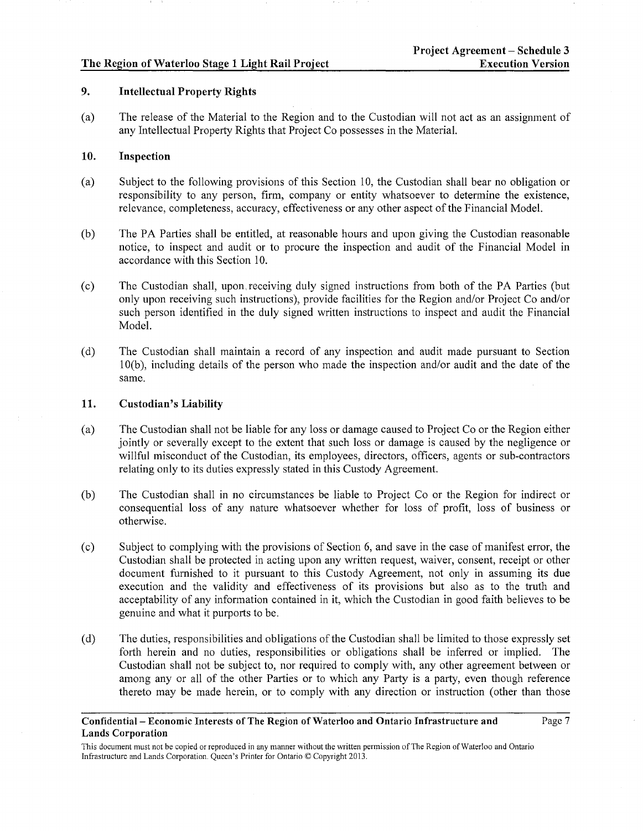# 9. Intellectual Property Rights

(a) The release of the Material to the Region and to the Custodian will not act as an assignment of any Intellectual Property Rights that Project Co possesses in the Material.

# 10. Inspection

- (a) Subject to the following provisions of this Section 10, the Custodian shall bear no obligation or responsibility to any person, firm, company or entity whatsoever to determine the existence, relevance, completeness, accuracy, effectiveness or any other aspect of the Financial Model.
- (b) The PA Parties shall be entitled, at reasonable hours and upon giving the Custodian reasonable notice, to inspect and audit or to procure the inspection and audit of the Financial Model in accordance with this Section 10.
- (c) The Custodian shall, upon, receiving duly signed instructions from both of the PA Parties (but only upon receiving svch instructions), provide facilities for the Region and/or Project Co and/or such person identified in the duly signed written instructions to inspect and audit the Financial Model.
- (d) The Custodian shall maintain a record of any inspection and audit made pursuant to Section 1 O(b ), including details of the person who made the inspection and/or audit and the date of the same.

## 11. Custodian's Liability

- (a) The Custodian shall not be liable for any loss or damage caused to Project Co or the Region either jointly or severally except to the extent that such loss or damage is caused by the negligence or willful misconduct of the Custodian, its employees, directors, officers, agents or sub-contractors relating only to its duties expressly stated in this Custody Agreement.
- (b) The Custodian shall in no circumstances be liable to Project Co or the Region for indirect or consequential loss of any nature whatsoever whether for loss of profit, loss of business or otherwise.
- (c) Subject to complying with the provisions of Section 6, and save in the case of manifest error, the Custodian shall be protected in acting upon any written request, waiver, consent, receipt or other document furnished to it pursuant to this Custody Agreement, not only in assuming its due execution and the validity and effectiveness of its provisions but also as to the truth and acceptability of any information contained in it, which the Custodian in good faith believes to be genuine and what it purports to be.
- (d) The duties, responsibilities and obligations ofthe Custodian shall be limited to those expressly set forth herein and no duties, responsibilities or obligations shall be inferred or implied. The Custodian shall not be subject to, nor required to comply with, any other agreement between or among any or all of the other Parties or to which any Party is a party, even though reference thereto may be made herein, or to comply with any direction or instruction (other than those

## Confidential- Economic Interests of The Region of Waterloo and Ontario Infrastructure and Lands Corporation

This document must not be copied or reproduced in any manner without the written permission of The Region of Waterloo and Ontario Infrastructure and Lands Corporation. Queen's Printer for Ontario© Copyright 2013.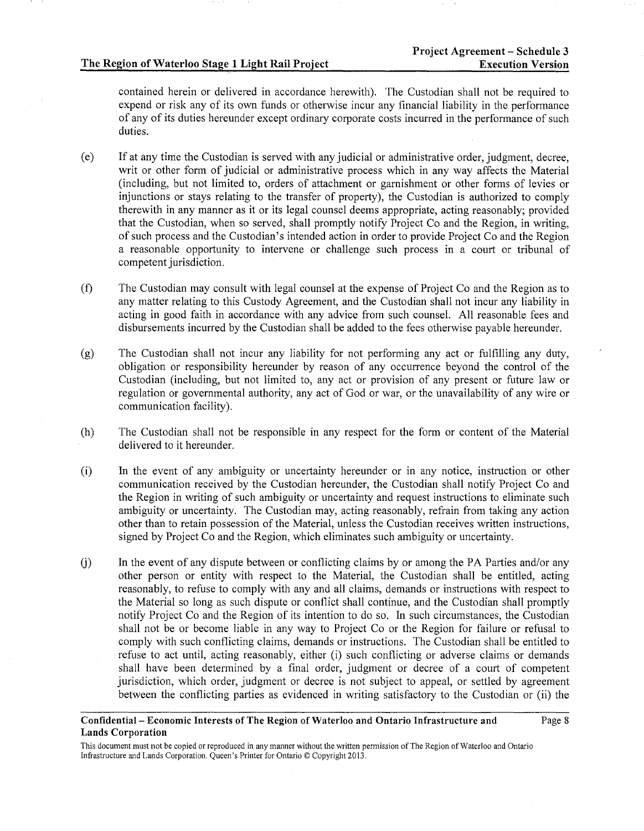Page 8

contained herein or delivered in accordance herewith). The Custodian shall not be required to expend or risk any of its own funds or otherwise incur any financial liability in the performance of any of its duties hereunder except ordinary corporate costs incurred in the performance of such duties.

- (e) If at any time the Custodian is served with any judicial or administrative order, judgment, decree, writ or other form of judicial or administrative process which in any way affects the Material (including, but not limited to, orders of attachment or garnishment or other forms of levies or injunctions or stays relating to the transfer of property), the Custodian is authorized to comply therewith in any manner as it or its legal counsel deems appropriate, acting reasonably; provided that the Custodian, when so served, shall promptly notify Project Co and the Region, in writing, of such process and the Custodian's intended action in order to provide Project Co and the Region a reasonable opportunity to intervene or challenge such process in a court or tribunal of competent jurisdiction.
- (f) The Custodian may consult with legal counsel at the expense of Project Co and the Region as to any matter relating to this Custody Agreement, and the Custodian shall not incur any liability in acting in good faith in accordance with any advice from such counsel. All reasonable fees and disbursements incurred by the Custodian shall be added to the fees otherwise payable hereunder.
- (g) The Custodian shall not incur any liability for not performing any act or fulfilling any duty, obligation or responsibility hereunder by reason of any occurrence beyond the control of the Custodian (including, but not limited to, any act or provision of any present or future law or regulation or governmental authority, any act of God or war, or the unavailability of any wire or communication facility).
- (h) The Custodian shall not be responsible in any respect for the form or content of the Material delivered to it hereunder.
- (i) In the event of any ambiguity or uncertainty hereunder or in any notice, instruction or other communication received by the Custodian hereunder, the Custodian shall notify Project Co and the Region in writing of such ambiguity or uncertainty and request instructions to eliminate such ambiguity or uncertainty. The Custodian may, acting reasonably, refrain from taking any action other than to retain possession of the Material, unless the Custodian receives written instructions, signed by Project Co and the Region, which eliminates such ambiguity or uncertainty.
- U) In the event of any dispute between or conflicting claims by or among the PA Parties and/or any other person or entity with respect to the Material, the Custodian shall be entitled, acting reasonably, to refuse to comply with any and all claims, demands or instructions with respect to the Material so long as such dispute or conflict shall continue, and the Custodian shall promptly notify Project Co and the Region of its intention to do so. In such circumstances, the Custodian shall not be or become liable in any way to Project Co or the Region for failure or refusal to comply with such conflicting claims, demands or instructions. The Custodian shall be entitled to refuse to act until, acting reasonably, either (i) such conflicting or adverse claims or demands shall have been determined by a final order, judgment or decree of a court of competent jurisdiction, which order, judgment or decree is not subject to appeal, or settled by agreement between the conflicting parties as evidenced in writing satisfactory to the Custodian or (ii) the

## Confidential- Economic Interests of The Region of Waterloo and Ontario Infrastructure and Lands Corporation

This document must not be copied or reproduced in any manner without the written permission of The Region of Waterloo and Ontario Infrastructure and Lands Corporation. Queen's Printer for Ontario© Copyright 2013.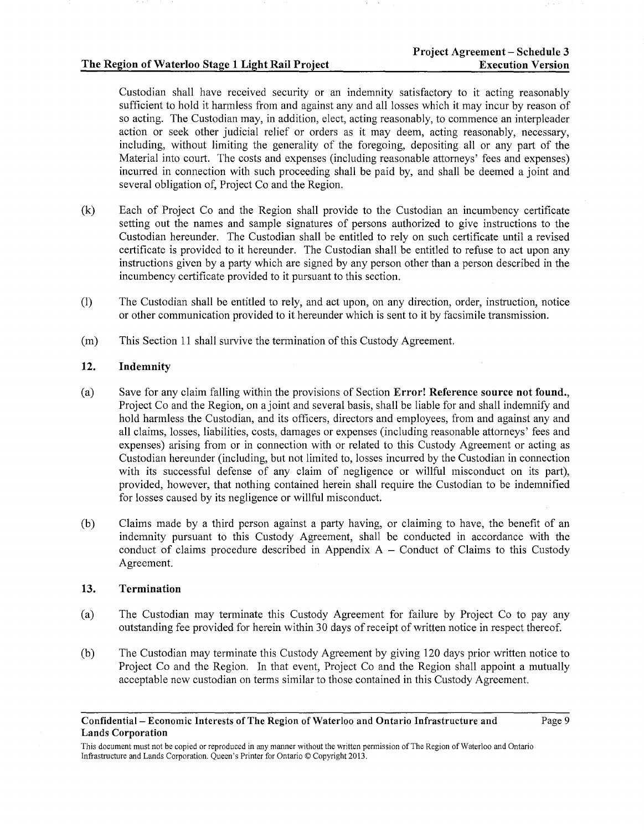Custodian shall have received security or an indemnity satisfactory to it acting reasonably sufficient to hold it harmless from and against any and all losses which it may incur by reason of so acting. The Custodian may, in addition, elect, acting reasonably, to commence an interpleader action or seek other judicial relief or orders as it may deem, acting reasonably, necessary, including, without limiting the generality of the foregoing, depositing all or any part of the Material into court. The costs and expenses (including reasonable attorneys' fees and expenses) incurred in connection with such proceeding shall be paid by, and shall be deemed a joint and several obligation of, Project Co and the Region.

- (k) Each of Project Co and the Region shall provide to the Custodian an incumbency certificate setting out the names and sample signatures of persons authorized to give instructions to the Custodian hereunder. The Custodian shall be entitled to rely on such certificate until a revised certificate is provided to it hereunder. The Custodian shall be entitled to refuse to act upon any instructions given by a party which are signed by any person other than a person described in the incumbency certificate provided to it pursuant to this section.
- (1) The Custodian shall be entitled to rely, and act upon, on any direction, order, instruction, notice or other communication provided to it hereunder which is sent to it by facsimile transmission.
- (m) This Section 11 shall survive the termination of this Custody Agreement.

# 12. Indemnity

- (a) Save for any claim falling within the provisions of Section Error! Reference source not found., Project Co and the Region, on a joint and several basis, shall be liable for and shall indemnify and hold harmless the Custodian, and its officers, directors and employees, from and against any and all claims, losses, liabilities, costs, damages or expenses (including reasonable attorneys' fees and expenses) arising from or in connection with or related to this Custody Agreement or acting as Custodian hereunder (including, but not limited to, losses incurred by the Custodian in connection with its successful defense of any claim of negligence or willful misconduct on its part), provided, however, that nothing contained herein shall require the Custodian to be indemnified for losses caused by its negligence or willful misconduct.
- (b) Claims made by a third person against a party having, or claiming to have, the benefit of an indemnity pursuant to this Custody Agreement, shall be conducted in accordance with the conduct of claims procedure described in Appendix  $A -$ Conduct of Claims to this Custody Agreement.

#### 13. Termination

- (a) The Custodian may terminate this Custody Agreement for failure by Project Co to pay any outstanding fee provided for herein within 30 days of receipt of written notice in respect thereof.
- (b) The Custodian may terminate this Custody Agreement by giving 120 days prior written notice to Project Co and the Region. In that event, Project Co and the Region shall appoint a mutually acceptable new custodian on terms similar to those contained in this Custody Agreement.

Confidential- Economic Interests of The Region of Waterloo and Ontario Infrastructure and Lands Corporation

Page 9

This document must not be copied or reproduced in any manner without the written permission of The Region of Waterloo and Ontario Infrastructure and Lands Corporation. Queen's Printer for Ontario© Copyright 2013.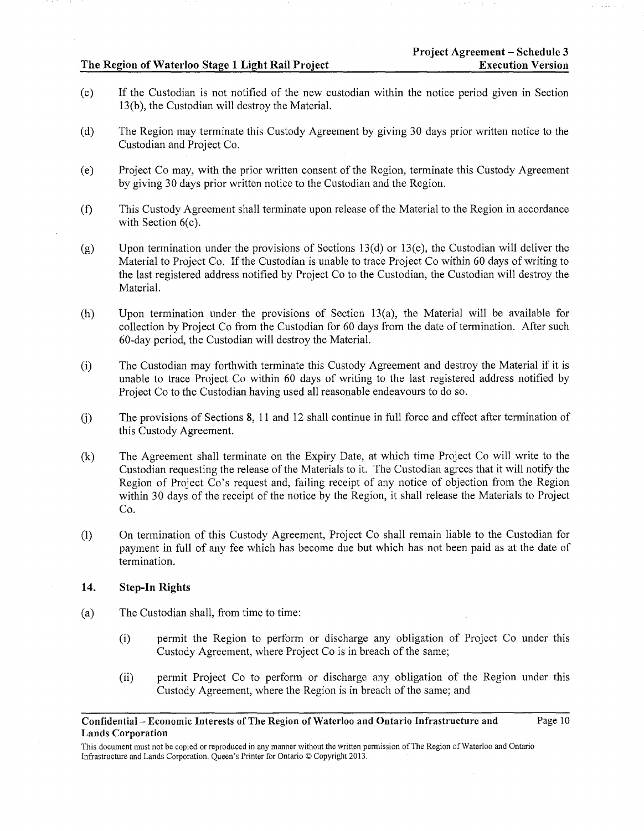- (c) If the Custodian is not notified of the new custodian within the notice period given in Section 13 (b), the Custodian will destroy the Material.
- (d) The Region may terminate this Custody Agreement by giving 30 days prior written notice to the Custodian and Project Co.
- (e) Project Co may, with the prior written consent of the Region, terminate this Custody Agreement by giving 30 days prior written notice to the Custodian and the Region.
- (f) This Custody Agreement shall terminate upon release of the Material to the Region in accordance with Section  $6(c)$ .
- (g) Upon termination under the provisions of Sections 13(d) or 13(e), the Custodian will deliver the Material to Project Co. If the Custodian is unable to trace Project Co within 60 days of writing to the last registered address notified by Project Co to the Custodian, the Custodian will destroy the Material.
- (h) Upon termination under the provisions of Section  $13(a)$ , the Material will be available for collection by Project Co from the Custodian for 60 days from the date of termination. After such 60-day period, the Custodian will destroy the Material.
- (i) The Custodian may forthwith terminate this Custody Agreement and destroy the Material if it is unable to trace Project Co within 60 days of writing to the last registered address notified by Project Co to the Custodian having used all reasonable endeavours to do so.
- U) The provisions of Sections 8, 11 and 12 shall continue in full force and effect after termination of this Custody Agreement.
- (k) The Agreement shall terminate on the Expiry Date, at which time Project Co will write to the Custodian requesting the release of the Materials to it. The Custodian agrees that it will notify the Region of Project Co's request and, failing receipt of any notice of objection from the Region within 30 days of the receipt of the notice by the Region, it shall release the Materials to Project Co.
- (1) On termination of this Custody Agreement, Project Co shall remain liable to the Custodian for payment in full of any fee which has become due but which has not been paid as at the date of termination.

# 14. Step-In Rights

- (a) The Custodian shall, from time to time:
	- (i) pennit the Region to perform or discharge any obligation of Project Co under this Custody Agreement, where Project Co is in breach of the same;
	- (ii) permit Project Co to perform or discharge any obligation of the Region under this Custody Agreement, where the Region is in breach of the same; and

#### Confidential- Economic Interests of The Region of Waterloo and Ontario Infrastructure and Lands Corporation Page 10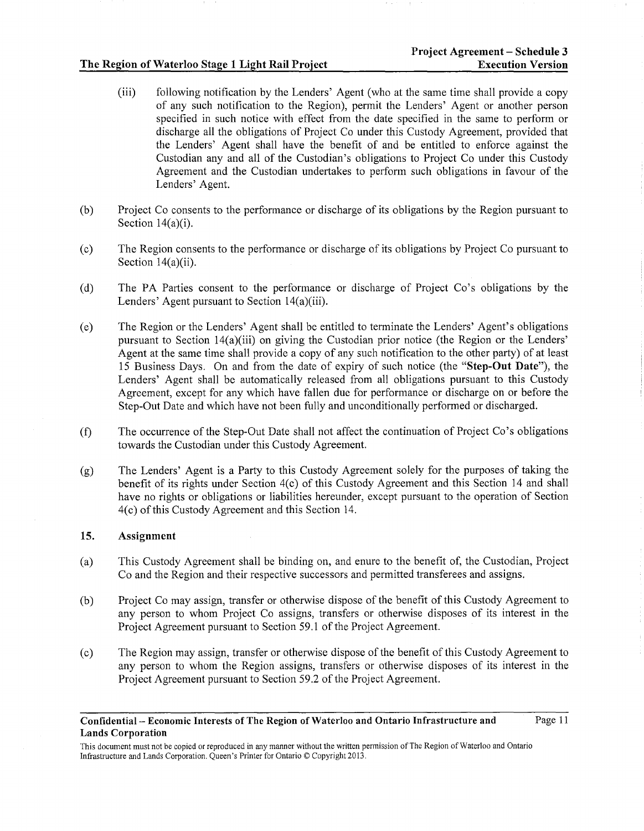- (iii) following notification by the Lenders' Agent (who at the same time shall provide a copy of any such notification to the Region), permit the Lenders' Agent or another person specified in such notice with effect from the date specified in the same to perform or discharge all the obligations of Project Co under this Custody Agreement, provided that the Lenders' Agent shall have the benefit of and be entitled to enforce against the Custodian any and all of the Custodian's obligations to Project Co under this Custody Agreement and the Custodian undertakes to perform such obligations in favour of the Lenders' Agent.
- (b) Project Co consents to the performance or discharge of its obligations by the Region pursuant to Section 14(a)(i).
- (c) The Region consents to the performance or discharge of its obligations by Project Co pursuant to Section 14(a)(ii).
- (d) The PA Parties consent to the performance or discharge of Project Co's obligations by the Lenders' Agent pursuant to Section l4(a)(iii).
- (e) The Region or the Lenders' Agent shall be entitled to terminate the Lenders' Agent's obligations pursuant to Section l4(a)(iii) on giving the Custodian prior notice (the Region or the Lenders' Agent at the same time shall provide a copy of any such notification to the other party) of at least 15 Business Days. On and from the date of expiry of such notice (the "Step-Out Date"), the Lenders' Agent shall be automatically released from all obligations pursuant to this Custody Agreement, except for any which have fallen due for performance or discharge on or before the Step-Out Date and which have not been fully and unconditionally performed or discharged.
- (f) The occurrence ofthe Step-Out Date shall not affect the continuation of Project Co's obligations towards the Custodian under this Custody Agreement.
- (g) The Lenders' Agent is a Party to this Custody Agreement solely for the purposes of taking the benefit of its rights under Section 4(c) of this Custody Agreement and this Section 14 and shall have no rights or obligations or liabilities hereunder, except pursuant to the operation of Section 4( c) of this Custody Agreement and this Section 14.

# 15. Assignment

- (a) This Custody Agreement shall be binding on, and enure to the benefit of, the Custodian, Project Co and the Region and their respective successors and permitted transferees and assigns.
- (b) Project Co may assign, transfer or otherwise dispose of the benefit of this Custody Agreement to any person to whom Project Co assigns, transfers or otherwise disposes of its interest in the Project Agreement pursuant to Section 59.1 of the Project Agreement.
- (c) The Region may assign, transfer or otherwise dispose of the benefit of this Custody Agreement to any person to whom the Region assigns, transfers or otherwise disposes of its interest in the Project Agreement pursuant to Section 59.2 of the Project Agreement.

#### Confidential- Economic Interests of The Region of Waterloo and Ontario Infrastructure and Lands Corporation

This document must not be copied or reproduced in any manner without the written permission of The Region of Waterloo and Ontario Infrastructure and Lands Corporation. Queen's Printer for Ontario© Copyright2013.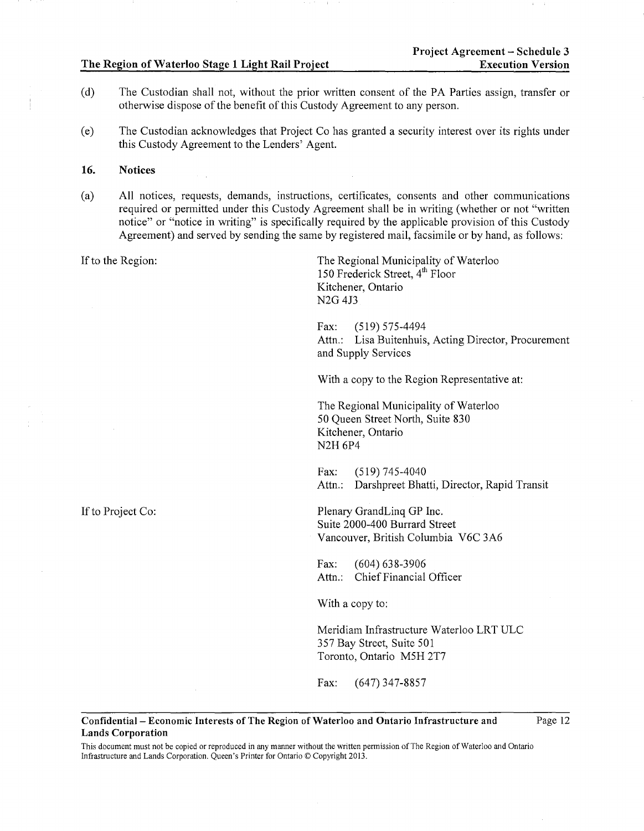- (d) The Custodian shall not, without the prior written consent of the PA Parties assign, transfer or otherwise dispose of the benefit of this Custody Agreement to any person.
- (e) The Custodian acknowledges that Project Co has granted a security interest over its rights under this Custody Agreement to the Lenders' Agent.

## **16. Notices**

(a) All notices, requests, demands, instructions, certificates, consents and other communications required or permitted under this Custody Agreement shall be in writing (whether or not "written notice" or "notice in writing" is specifically required by the applicable provision of this Custody Agreement) and served by sending the same by registered mail, facsimile or by hand, as follows:

If to the Region: The Regional Municipality of Waterloo 150 Frederick Street, 4<sup>th</sup> Floor Kitchener, Ontario N2G4J3 Fax: (519) 575-4494 Attn.: Lisa Buitenhuis, Acting Director, Procurement and Supply Services With a copy to the Region Representative at: The Regional Municipality of Waterloo 50 Queen Street North, Suite 830 Kitchener, Ontario N2H 6P4 Fax: (519) 745-4040 Attn.: Darshpreet Bhatti, Director, Rapid Transit If to Project Co: Plenary GrandLinq GP Inc. Suite 2000-400 Burrard Street Vancouver, British Columbia V6C 3A6 Fax: (604) 638-3906 Attn.: Chief Financial Officer With a copy to:

Meridiam Infrastructure Waterloo LRT ULC 357 Bay Street, Suite 501 Toronto, Ontario MSH 2T7

Page 12

Fax: (647) 347-8857

#### **Confidential- Economic Interests of The Region of Waterloo and Ontario Infrastructure and Lands Corporation**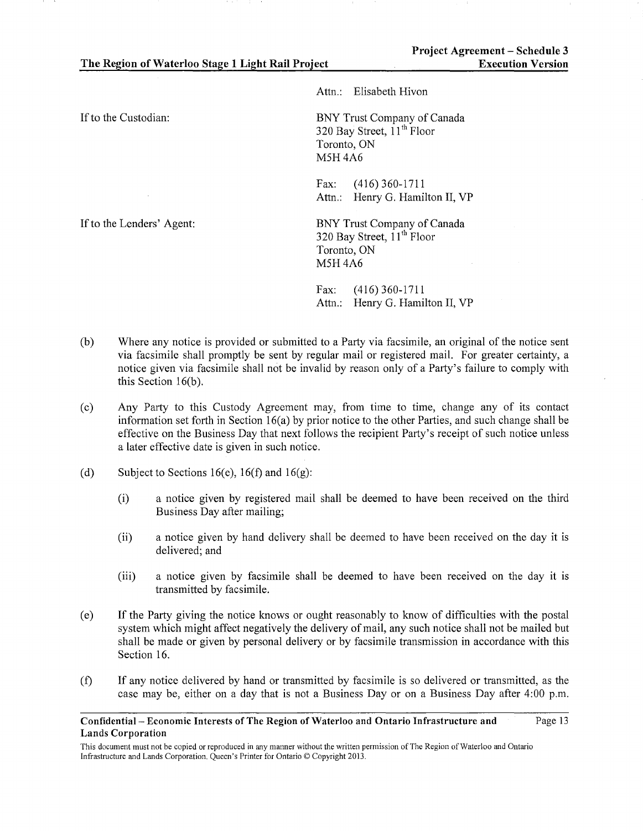Attn.: Elisabeth Hivon

If to the Custodian:

BNY Trust Company of Canada 320 Bay Street,  $11<sup>th</sup>$  Floor Toronto, ON MSH4A6

Fax: (416) 360-1711 Attn.: Henry G. Hamilton II, VP

BNY Trust Company of Canada 320 Bay Street,  $11^{th}$  Floor Toronto, ON MSH4A6

Fax: (416) 360-1711 Attn.: Henry G. Hamilton II, VP

- (b) Where any notice is provided or submitted to a Party via facsimile, an original of the notice sent via facsimile shall promptly be sent by regular mail or registered mail. For greater certainty, a notice given via facsimile shall not be invalid by reason only of a Party's failure to comply with this Section  $16(b)$ .
- (c) Any Party to this Custody Agreement may, from time to time, change any of its contact information set forth in Section 16(a) by prior notice to the other Parties, and such change shall be effective on the Business Day that next follows the recipient Party's receipt of such notice unless a later effective date is given in such notice.
- (d) Subject to Sections 16(e), 16(f) and 16(g):
	- (i) a notice given by registered mail shall be deemed to have been received on the third Business Day after mailing;
	- (ii) a notice given by hand delivery shall be deemed to have been received on the day it is delivered; and
	- (iii) a notice given by facsimile shall be deemed to have been received on the day it is transmitted by facsimile.
- (e) If the Party giving the notice knows or ought reasonably to know of difficulties with the postal system which might affect negatively the delivery of mail, any such notice shall not be mailed but shall be made or given by personal delivery or by facsimile transmission in accordance with this Section 16.
- (f) If any notice delivered by hand or transmitted by facsimile is so delivered or transmitted, as the case may be, either on a day that is not a Business Day or on a Business Day after 4:00 p.m.

If to the Lenders' Agent:

Confidential- Economic Interests of The Region of Waterloo and Ontario Infrastructure and Lands Corporation Page 13

This document must not be copied or reproduced in any manner without the written permission of The Region of Waterloo and Ontario Infrastructure and Lands Corporation. Queen's Printer for Ontario© Copyright 2013.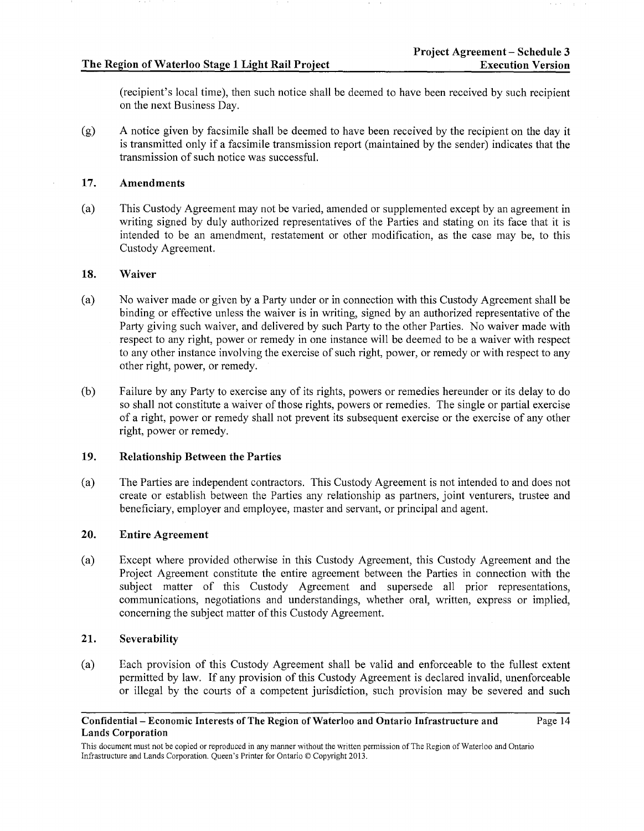(recipient's local time), then such notice shall be deemed to have been received by such recipient on the next Business Day.

(g) A notice given by facsimile shall be deemed to have been received by the recipient on the day it is transmitted only if a facsimile transmission report (maintained by the sender) indicates that the transmission of such notice was successful.

## 17. Amendments

(a) This Custody Agreement may not be varied, amended or supplemented except by an agreement in writing signed by duly authorized representatives of the Parties and stating on its face that it is intended to be an amendment, restatement or other modification, as the case may be, to this Custody Agreement.

# 18. Waiver

- (a) No waiver made or given by a Party under or in connection with this Custody Agreement shall be binding or effective unless the waiver is in writing, signed by an authorized representative of the Party giving such waiver, and delivered by such Party to the other Parties. No waiver made with respect to any right, power or remedy in one instance will be deemed to be a waiver with respect to any other instance involving the exercise of such right, power, or remedy or with respect to any other right, power, or remedy.
- (b) Failure by any Party to exercise any of its rights, powers or remedies hereunder or its delay to do so shall not constitute a waiver of those rights, powers or remedies. The single or partial exercise of a right, power or remedy shall not prevent its subsequent exercise or the exercise of any other right, power or remedy.

# 19. Relationship Between the Parties

(a) The Parties are independent contractors. This Custody Agreement is not intended to and does not create or establish between the Parties any relationship as partners, joint venturers, trustee and beneficiary, employer and employee, master and servant, or principal and agent.

# 20. Entire Agreement

(a) Except where provided otherwise in this Custody Agreement, this Custody Agreement and the Project Agreement constitute the entire agreement between the Parties in connection with the subject matter of this Custody Agreement and supersede all prior representations, communications, negotiations and understandings, whether oral, written, express or implied, concerning the subject matter of this Custody Agreement.

# 21. Severability

(a) Each provision of this Custody Agreement shall be valid and enforceable to the fullest extent permitted by law. If any provision of this Custody Agreement is declared invalid, unenforceable or illegal by the courts of a competent jurisdiction, such provision may be severed and such

#### Confidential- Economic Interests of The Region of Waterloo and Ontario Infrastructure and Lands Corporation Page 14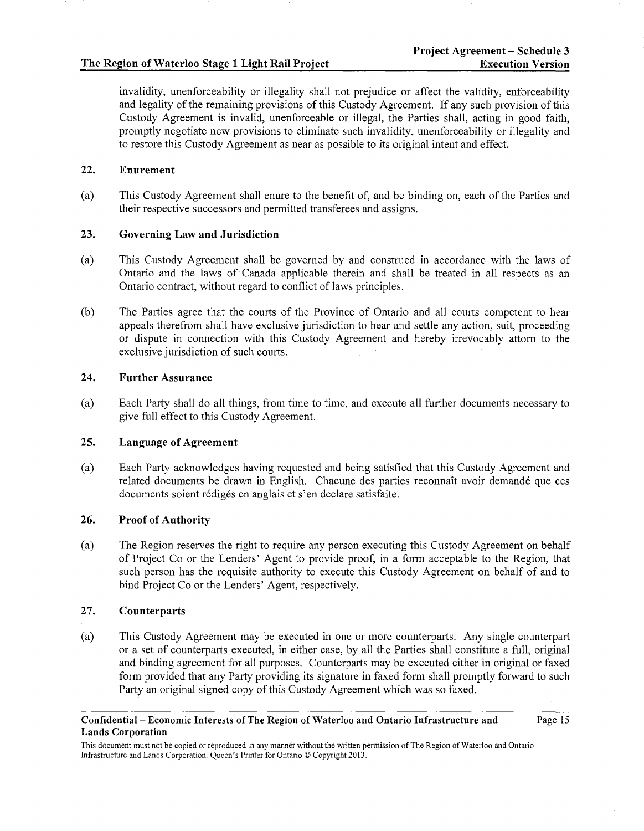invalidity, unenforceability or illegality shall not prejudice or affect the validity, enforceability and legality of the remaining provisions of this Custody Agreement. If any such provision of this Custody Agreement is invalid, unenforceable or illegal, the Parties shall, acting in good faith, promptly negotiate new provisions to eliminate such invalidity, unenforceability or illegality and to restore this Custody Agreement as near as possible to its original intent and effect.

# 22. Enurement

(a) This Custody Agreement shall enure to the benefit of, and be binding on, each of the Parties and their respective successors and permitted transferees and assigns.

## 23. Governing Law and Jurisdiction

- (a) This Custody Agreement shall be governed by and construed in accordance with the laws of Ontario and the laws of Canada applicable therein and shall be treated in all respects as an Ontario contract, without regard to conflict of laws principles.
- (b) The Parties agree that the courts of the Province of Ontario and all courts competent to hear appeals therefrom shall have exclusive jurisdiction to hear and settle any action, suit, proceeding or dispute in connection with this Custody Agreement and hereby irrevocably attorn to the exclusive jurisdiction of such courts.

## 24. Further Assurance

(a) Each Party shall do all things, from time to time, and execute all further documents necessary to give full effect to this Custody Agreement.

# 25. Language of Agreement

(a) Each Party acknowledges having requested and being satisfied that this Custody Agreement and related documents be drawn in English. Chacune des parties reconnait avoir demande que ces documents soient rédigés en anglais et s'en declare satisfaite.

# 26. Proof of Authority

(a) The Region reserves the right to require any person executing this Custody Agreement on behalf of Project Co or the Lenders' Agent to provide proof, in a form acceptable to the Region, that such person has the requisite authority to execute this Custody Agreement on behalf of and to bind Project Co or the Lenders' Agent, respectively.

#### 27. Counterparts

(a) This Custody Agreement may be executed in one or more counterparts. Any single counterpart or a set of counterparts executed, in either case, by all the Parties shall constitute a full, original and binding agreement for all purposes. Counterparts may be executed either in original or faxed form provided that any Party providing its signature in faxed form shall promptly forward to such Party an original signed copy of this Custody Agreement which was so faxed.

#### Confidential- Economic Interests of The Region of Waterloo and Ontario Infrastructure and Lands Corporation

Page 15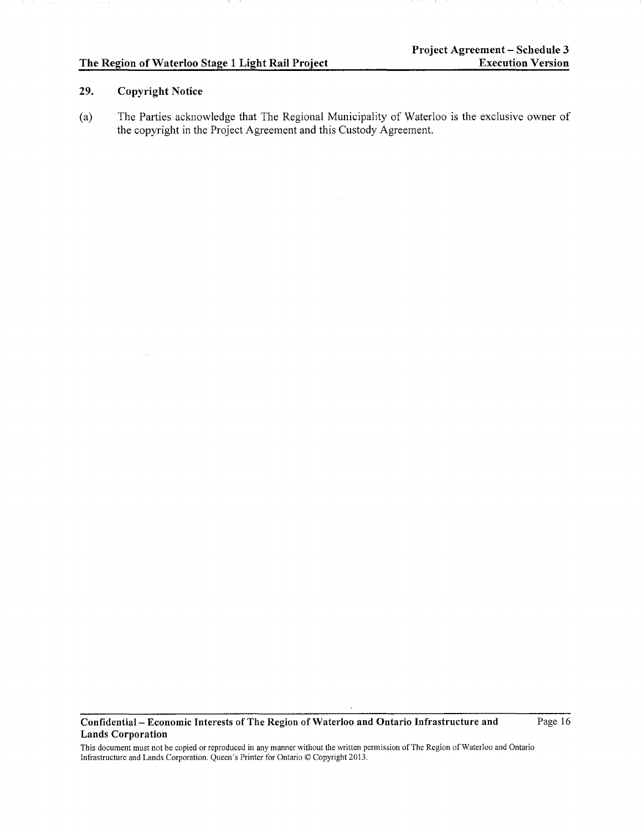# **29. Copyright Notice**

(a) The Parties acknowledge that The Regional Municipality of Waterloo is the exclusive owner of the copyright in the Project Agreement and this Custody Agreement.

**Confidential- Economic Interests of The Region of Waterloo and Ontario Infrastructure and Lands Corporation** 

Page 16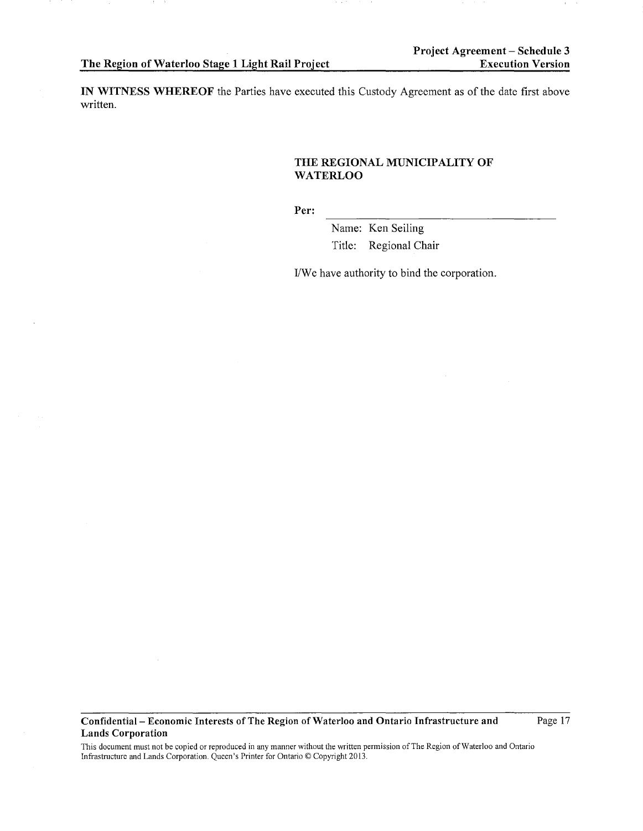**IN WITNESS WHEREOF** the Parties have executed this Custody Agreement as of the date first above written.

## **THE REGIONAL MUNICIPALITY OF WATERLOO**

**Per:** 

Name: Ken Seiling Title: Regional Chair

I/We have authority to bind the corporation.

**Confidential- Economic Interests of The Region of Waterloo and Ontario Infrastructure and Lands Corporation** 

Page 17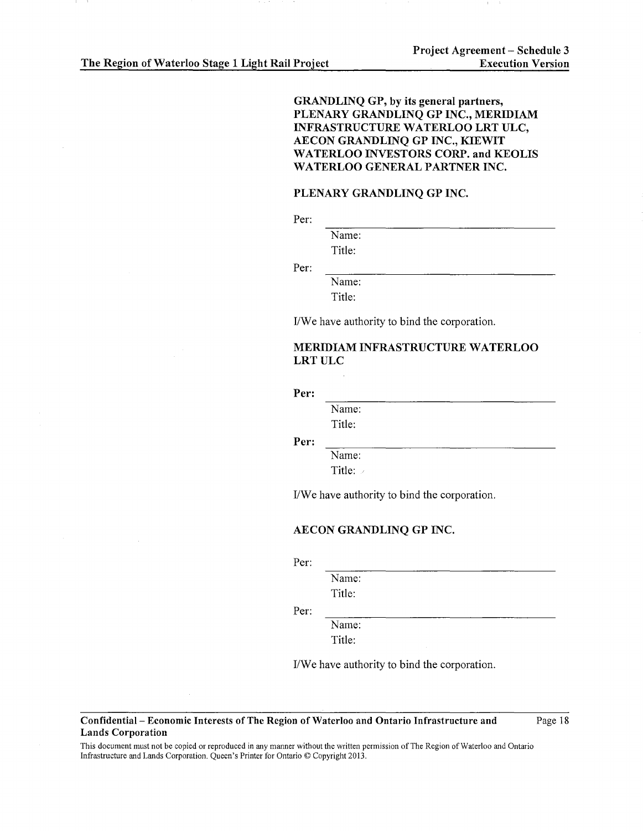# GRANDLINQ GP, by its general partners, PLENARY GRANDLINQ GP INC., MERIDIAM INFRASTRUCTURE WATERLOO LRT ULC, AECON GRANDLINQ GP INC., KIEWIT WATERLOO INVESTORS CORP. and KEOLIS WATERLOO GENERAL PARTNER INC.

#### PLENARY GRANDLINQ GP INC.

Per:

Per:

Name: Title:

Name:

Title:

I/We have authority to bind the corporation.

# MERIDIAM INFRASTRUCTURE WATERLOO LRTULC

#### Per:

Name:

Title:

Per:

Name: Title:

I/We have authority to bind the corporation.

#### AECON GRANDLINQ GP INC.

Per:

Name:

Title:

Per:

Name:

Title:

I/We have authority to bind the corporation.

#### Confidential- Economic Interests of The Region of Waterloo and Ontario Infrastructure and Lands Corporation

Page 18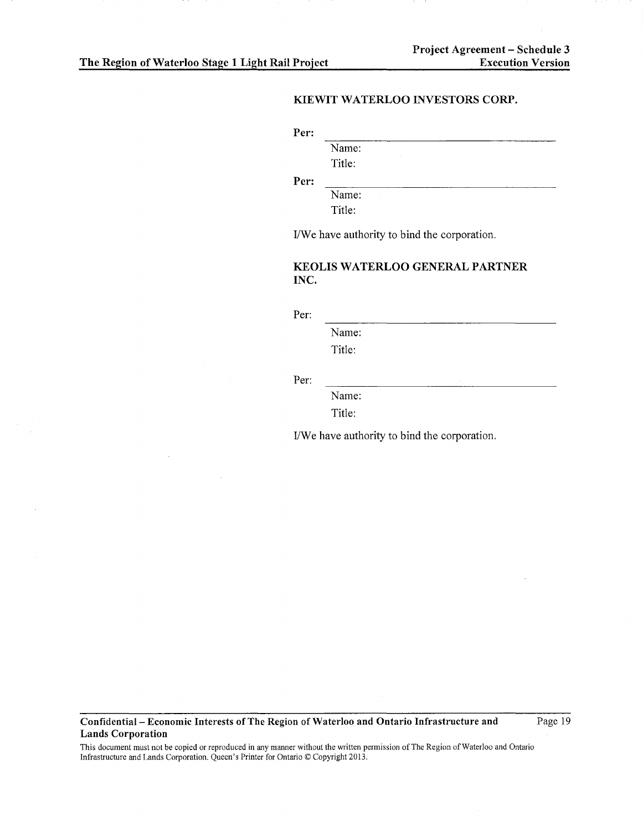# KIEWIT WATERLOO INVESTORS CORP.

Per:

Name:

Title:

Per:

Name: Title:

I/We have authority to bind the corporation.

# KEOLIS WATERLOO GENERAL PARTNER INC.

Per:

Name:

Title:

Per:

Name: Title:

I/We have authority to bind the corporation.

Confidential- Economic Interests of The Region of Waterloo and Ontario Infrastructure and Lands Corporation

Page 19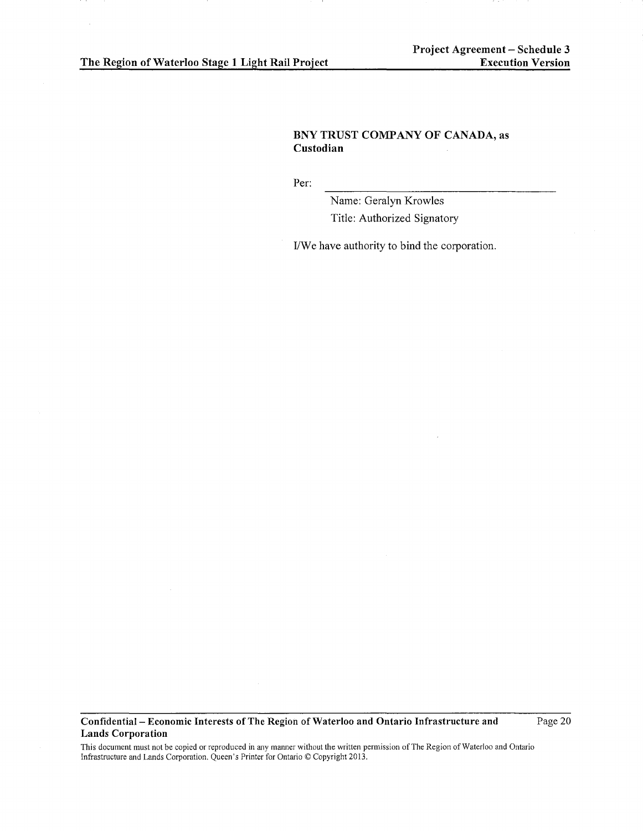# BNY TRUST COMPANY OF CANADA, as Custodian

Per:

Name: Geralyn Krowles Title: Authorized Signatory

I/We have authority to bind the corporation.

Confidential- Economic Interests of The Region of Waterloo and Ontario Infrastructure and Lands Corporation

Page 20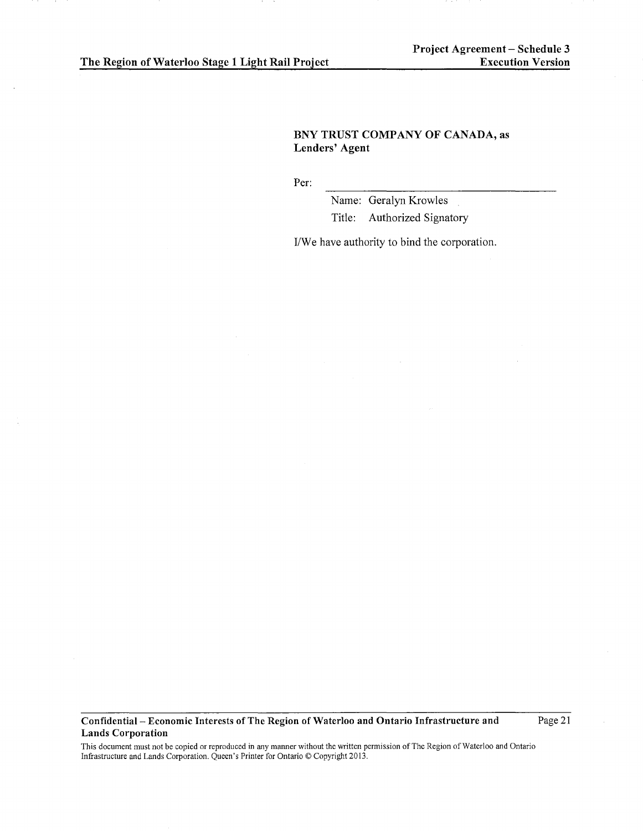# BNY TRUST COMPANY OF CANADA, as Lenders' Agent

Per:

Name: Geralyn Krowles Title: Authorized Signatory

I/We have authority to bind the corporation.

Confidential- Economic Interests of The Region of Waterloo and Ontario Infrastructure and Lands Corporation

Page 21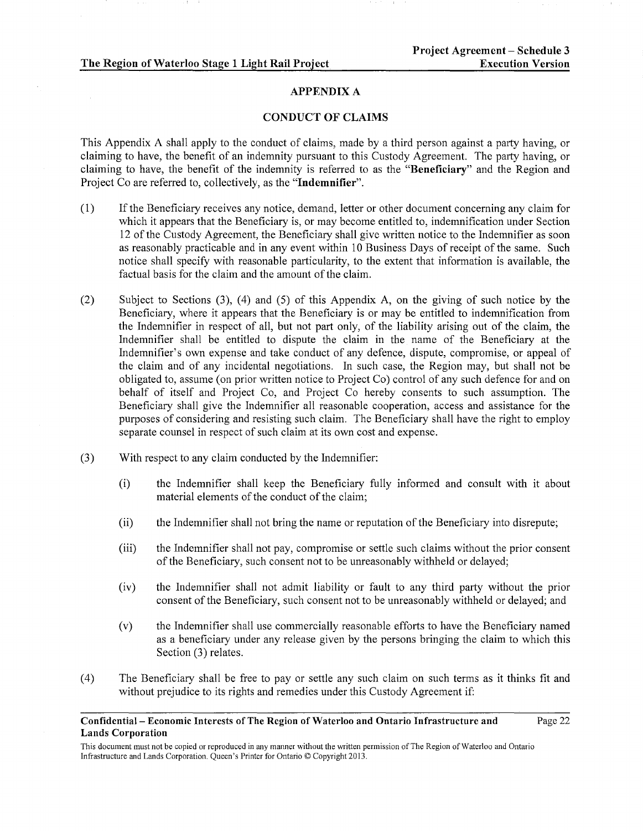## APPENDIX A

## CONDUCT OF CLAIMS

This Appendix A shall apply to the conduct of claims, made by a third person against a party having, or claiming to have, the benefit of an indemnity pursuant to this Custody Agreement. The party having, or claiming to have, the benefit of the indemnity is referred to as the "Beneficiary" and the Region and Project Co are referred to, collectively, as the "Indemnifier".

- (1) If the Beneficiary receives any notice, demand, letter or other document concerning any claim for which it appears that the Beneficiary is, or may become entitled to, indemnification under Section 12 of the Custody Agreement, the Beneficiary shall give written notice to the Indemnifier as soon as reasonably practicable and in any event within 10 Business Days of receipt of the same. Such notice shall specify with reasonable particularity, to the extent that information is available, the factual basis for the claim and the amount of the claim.
- (2) Subject to Sections (3), ( 4) and (5) of this Appendix A, on the giving of such notice by the Beneficiary, where it appears that the Beneficiary is or may be entitled to indemnification from the Indemnifier in respect of all, but not part only, of the liability arising out of the claim, the Indemnifier shall be entitled to dispute the claim in the name of the Beneficiary at the Indemnifier's own expense and take conduct of any defence, dispute, compromise, or appeal of the claim and of any incidental negotiations. In such case, the Region may, but shall not be obligated to, assume (on prior written notice to Project Co) control of any such defence for and on behalf of itself and Project Co, and Project Co hereby consents to such assumption. The Beneficiary shall give the Indemnifier all reasonable cooperation, access and assistance for the purposes of considering and resisting such claim. The Beneficiary shall have the right to employ separate counsel in respect of such claim at its own cost and expense.
- (3) With respect to any claim conducted by the Indemnifier:
	- (i) the Indemnifier shall keep the Beneficiary fully infonned and consult with it about material elements of the conduct of the claim;
	- (ii) the Indemnifier shall not bring the name or reputation of the Beneficiary into disrepute;
	- (iii) the Indemnifier shall not pay, compromise or settle such claims without the prior consent of the Beneficiary, such consent not to be unreasonably withheld or delayed;
	- (iv) the Indemnifier shall not admit liability or fault to any third party without the prior consent of the Beneficiary, such consent not to be unreasonably withheld or delayed; and
	- (v) the Indemnifier shall use commercially reasonable efforts to have the Beneficiary named as a beneficiary under any release given by the persons bringing the claim to which this Section (3) relates.
- ( 4) The Beneficiary shall be free to pay or settle any such claim on such terms as it thinks fit and without prejudice to its rights and remedies under this Custody Agreement if:

#### Confidential- Economic Interests of The Region of Waterloo and Ontario Infrastructure and Lands Corporation Page 22

This document must not be copied or reproduced in any manner without the written permission of The Region of Waterloo and Ontario Infrastructure and Lands Corporation. Queen's Printer for Ontario © Copyright 2013.